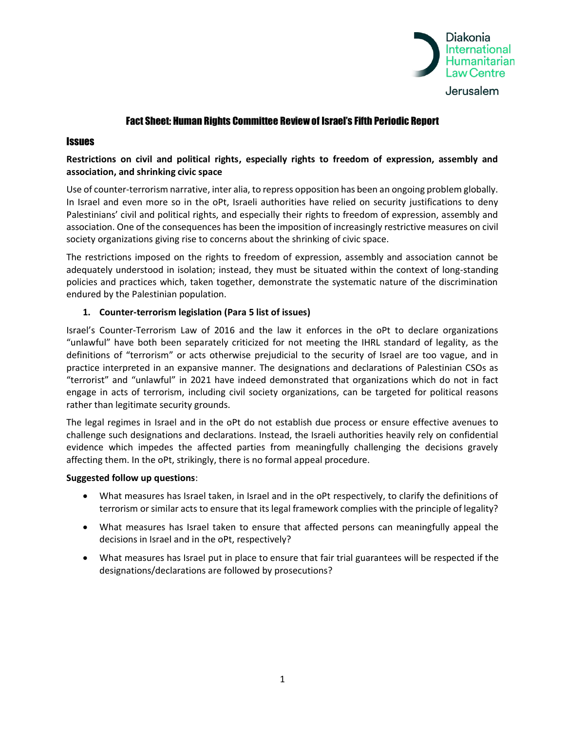

# Fact Sheet: Human Rights Committee Review of Israel's Fifth Periodic Report

### **Issues**

# **Restrictions on civil and political rights, especially rights to freedom of expression, assembly and association, and shrinking civic space**

Use of counter-terrorism narrative, inter alia, to repress opposition has been an ongoing problem globally. In Israel and even more so in the oPt, Israeli authorities have relied on security justifications to deny Palestinians' civil and political rights, and especially their rights to freedom of expression, assembly and association. One of the consequences has been the imposition of increasingly restrictive measures on civil society organizations giving rise to concerns about the shrinking of civic space.

The restrictions imposed on the rights to freedom of expression, assembly and association cannot be adequately understood in isolation; instead, they must be situated within the context of long-standing policies and practices which, taken together, demonstrate the systematic nature of the discrimination endured by the Palestinian population.

### **1. Counter-terrorism legislation (Para 5 list of issues)**

Israel's Counter-Terrorism Law of 2016 and the law it enforces in the oPt to declare organizations "unlawful" have both been separately criticized for not meeting the IHRL standard of legality, as the definitions of "terrorism" or acts otherwise prejudicial to the security of Israel are too vague, and in practice interpreted in an expansive manner. The designations and declarations of Palestinian CSOs as "terrorist" and "unlawful" in 2021 have indeed demonstrated that organizations which do not in fact engage in acts of terrorism, including civil society organizations, can be targeted for political reasons rather than legitimate security grounds.

The legal regimes in Israel and in the oPt do not establish due process or ensure effective avenues to challenge such designations and declarations. Instead, the Israeli authorities heavily rely on confidential evidence which impedes the affected parties from meaningfully challenging the decisions gravely affecting them. In the oPt, strikingly, there is no formal appeal procedure.

#### **Suggested follow up questions**:

- What measures has Israel taken, in Israel and in the oPt respectively, to clarify the definitions of terrorism or similar acts to ensure that its legal framework complies with the principle of legality?
- What measures has Israel taken to ensure that affected persons can meaningfully appeal the decisions in Israel and in the oPt, respectively?
- What measures has Israel put in place to ensure that fair trial guarantees will be respected if the designations/declarations are followed by prosecutions?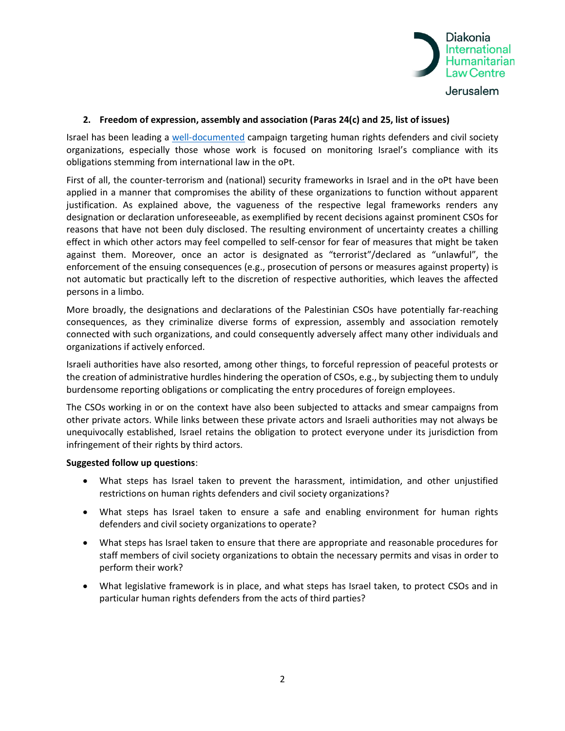

### **2. Freedom of expression, assembly and association (Paras 24(c) and 25, list of issues)**

Israel has been leading a [well-documented](https://apidiakoniase.cdn.triggerfish.cloud/uploads/sites/2/2021/12/Timeline-Part-I-Shrinking-Space-Israel-Palestine.pdf) campaign targeting human rights defenders and civil society organizations, especially those whose work is focused on monitoring Israel's compliance with its obligations stemming from international law in the oPt.

First of all, the counter-terrorism and (national) security frameworks in Israel and in the oPt have been applied in a manner that compromises the ability of these organizations to function without apparent justification. As explained above, the vagueness of the respective legal frameworks renders any designation or declaration unforeseeable, as exemplified by recent decisions against prominent CSOs for reasons that have not been duly disclosed. The resulting environment of uncertainty creates a chilling effect in which other actors may feel compelled to self-censor for fear of measures that might be taken against them. Moreover, once an actor is designated as "terrorist"/declared as "unlawful", the enforcement of the ensuing consequences (e.g., prosecution of persons or measures against property) is not automatic but practically left to the discretion of respective authorities, which leaves the affected persons in a limbo.

More broadly, the designations and declarations of the Palestinian CSOs have potentially far-reaching consequences, as they criminalize diverse forms of expression, assembly and association remotely connected with such organizations, and could consequently adversely affect many other individuals and organizations if actively enforced.

Israeli authorities have also resorted, among other things, to forceful repression of peaceful protests or the creation of administrative hurdles hindering the operation of CSOs, e.g., by subjecting them to unduly burdensome reporting obligations or complicating the entry procedures of foreign employees.

The CSOs working in or on the context have also been subjected to attacks and smear campaigns from other private actors. While links between these private actors and Israeli authorities may not always be unequivocally established, Israel retains the obligation to protect everyone under its jurisdiction from infringement of their rights by third actors.

#### **Suggested follow up questions**:

- What steps has Israel taken to prevent the harassment, intimidation, and other unjustified restrictions on human rights defenders and civil society organizations?
- What steps has Israel taken to ensure a safe and enabling environment for human rights defenders and civil society organizations to operate?
- What steps has Israel taken to ensure that there are appropriate and reasonable procedures for staff members of civil society organizations to obtain the necessary permits and visas in order to perform their work?
- What legislative framework is in place, and what steps has Israel taken, to protect CSOs and in particular human rights defenders from the acts of third parties?